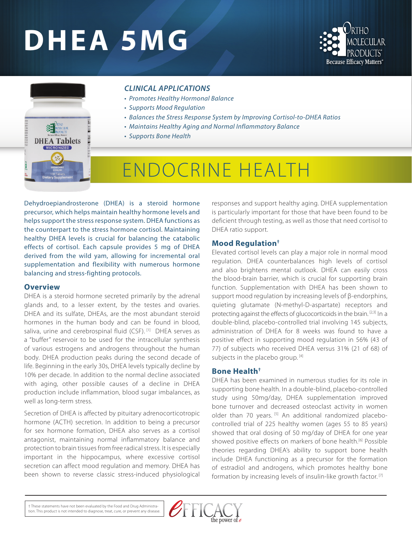# **DHEA 5MG**





### *CLINICAL APPLICATIONS*

- *Promotes Healthy Hormonal Balance*
- *Supports Mood Regulation*
- *Balances the Stress Response System by Improving Cortisol-to-DHEA Ratios*
- *Maintains Healthy Aging and Normal Inflammatory Balance*
- *Supports Bone Health*

## ENDOCRINE HEALTH

Dehydroepiandrosterone (DHEA) is a steroid hormone precursor, which helps maintain healthy hormone levels and helps support the stress response system. DHEA functions as the counterpart to the stress hormone cortisol. Maintaining healthy DHEA levels is crucial for balancing the catabolic effects of cortisol. Each capsule provides 5 mg of DHEA derived from the wild yam, allowing for incremental oral supplementation and flexibility with numerous hormone balancing and stress-fighting protocols.

#### **Overview**

DHEA is a steroid hormone secreted primarily by the adrenal glands and, to a lesser extent, by the testes and ovaries. DHEA and its sulfate, DHEAs, are the most abundant steroid hormones in the human body and can be found in blood, saliva, urine and cerebrospinal fluid (CSF).<sup>[1]</sup> DHEA serves as a "buffer" reservoir to be used for the intracellular synthesis of various estrogens and androgens throughout the human body. DHEA production peaks during the second decade of life. Beginning in the early 30s, DHEA levels typically decline by 10% per decade. In addition to the normal decline associated with aging, other possible causes of a decline in DHEA production include inflammation, blood sugar imbalances, as well as long-term stress.

Secretion of DHEA is affected by pituitary adrenocorticotropic hormone (ACTH) secretion. In addition to being a precursor for sex hormone formation, DHEA also serves as a cortisol antagonist, maintaining normal inflammatory balance and protection to brain tissues from free radical stress. It is especially important in the hippocampus, where excessive cortisol secretion can affect mood regulation and memory. DHEA has been shown to reverse classic stress-induced physiological responses and support healthy aging. DHEA supplementation is particularly important for those that have been found to be deficient through testing, as well as those that need cortisol to DHEA ratio support.

#### **Mood Regulation†**

Elevated cortisol levels can play a major role in normal mood regulation. DHEA counterbalances high levels of cortisol and also brightens mental outlook. DHEA can easily cross the blood-brain barrier, which is crucial for supporting brain function. Supplementation with DHEA has been shown to support mood regulation by increasing levels of β-endorphins, quieting glutamate (N-methyl-D-aspartate) receptors and protecting against the effects of glucocorticoids in the brain. [2,3] In a double-blind, placebo-controlled trial involving 145 subjects, administration of DHEA for 8 weeks was found to have a positive effect in supporting mood regulation in 56% (43 of 77) of subjects who received DHEA versus 31% (21 of 68) of subjects in the placebo group. [4]

#### **Bone Health†**

DHEA has been examined in numerous studies for its role in supporting bone health. In a double-blind, placebo-controlled study using 50mg/day, DHEA supplementation improved bone turnover and decreased osteoclast activity in women older than 70 years. [5] An additional randomized placebocontrolled trial of 225 healthy women (ages 55 to 85 years) showed that oral dosing of 50 mg/day of DHEA for one year showed positive effects on markers of bone health.<sup>[6]</sup> Possible theories regarding DHEA's ability to support bone health include DHEA functioning as a precursor for the formation of estradiol and androgens, which promotes healthy bone formation by increasing levels of insulin-like growth factor.<sup>[7]</sup>